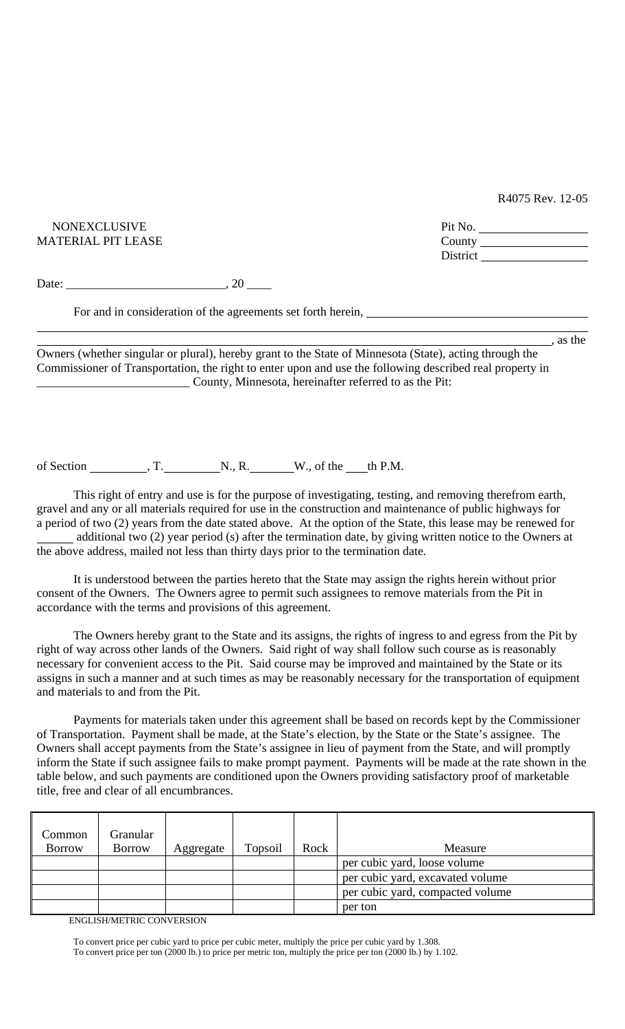R4075 Rev. 12-05

| <b>NONEXCLUSIVE</b>                                                                                     | Pit No. $\qquad \qquad$ |  |  |
|---------------------------------------------------------------------------------------------------------|-------------------------|--|--|
| MATERIAL PIT LEASE                                                                                      |                         |  |  |
| District                                                                                                |                         |  |  |
| Date: $\qquad \qquad .20 \qquad \qquad .$                                                               |                         |  |  |
| For and in consideration of the agreements set forth herein,                                            |                         |  |  |
|                                                                                                         | as the                  |  |  |
| Owners (whether singular or plural), hereby grant to the State of Minnesota (State), acting through the |                         |  |  |

Commissioner of Transportation, the right to enter upon and use the following described real property in \_\_\_\_\_\_\_\_\_\_\_\_\_\_\_\_\_\_\_\_\_\_\_\_\_ County, Minnesota, hereinafter referred to as the Pit:

of Section  $\overline{X}$ , T.  $N_{\cdot}$ , R.  $\underline{W}_{\cdot}$ , of the th P.M.

 This right of entry and use is for the purpose of investigating, testing, and removing therefrom earth, gravel and any or all materials required for use in the construction and maintenance of public highways for a period of two (2) years from the date stated above. At the option of the State, this lease may be renewed for additional two (2) year period (s) after the termination date, by giving written notice to the Owners at the above address, mailed not less than thirty days prior to the termination date.

 It is understood between the parties hereto that the State may assign the rights herein without prior consent of the Owners. The Owners agree to permit such assignees to remove materials from the Pit in accordance with the terms and provisions of this agreement.

 The Owners hereby grant to the State and its assigns, the rights of ingress to and egress from the Pit by right of way across other lands of the Owners. Said right of way shall follow such course as is reasonably necessary for convenient access to the Pit. Said course may be improved and maintained by the State or its assigns in such a manner and at such times as may be reasonably necessary for the transportation of equipment and materials to and from the Pit.

 Payments for materials taken under this agreement shall be based on records kept by the Commissioner of Transportation. Payment shall be made, at the State's election, by the State or the State's assignee. The Owners shall accept payments from the State's assignee in lieu of payment from the State, and will promptly inform the State if such assignee fails to make prompt payment. Payments will be made at the rate shown in the table below, and such payments are conditioned upon the Owners providing satisfactory proof of marketable title, free and clear of all encumbrances.

| Common<br><b>Borrow</b>             | Granular<br><b>Borrow</b> | Aggregate | Topsoil | Rock | Measure                          |  |
|-------------------------------------|---------------------------|-----------|---------|------|----------------------------------|--|
|                                     |                           |           |         |      |                                  |  |
|                                     |                           |           |         |      | per cubic yard, loose volume     |  |
|                                     |                           |           |         |      | per cubic yard, excavated volume |  |
|                                     |                           |           |         |      | per cubic yard, compacted volume |  |
|                                     |                           |           |         |      | per ton                          |  |
| <b>EMOLIGILA JETRIC COMULPDOJOM</b> |                           |           |         |      |                                  |  |

ENGLISH/METRIC CONVERSION

 To convert price per cubic yard to price per cubic meter, multiply the price per cubic yard by 1.308. To convert price per ton (2000 lb.) to price per metric ton, multiply the price per ton (2000 lb.) by 1.102.